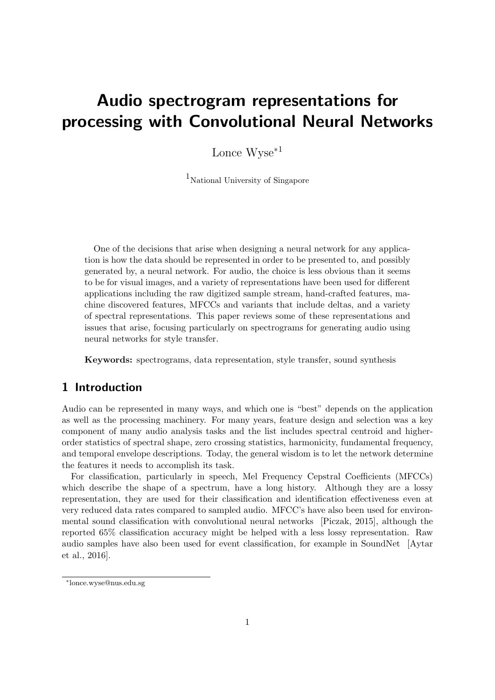# <span id="page-0-0"></span>Audio spectrogram representations for processing with Convolutional Neural Networks

Lonce Wyse<sup>∗</sup><sup>1</sup>

 $1$ National University of Singapore

One of the decisions that arise when designing a neural network for any application is how the data should be represented in order to be presented to, and possibly generated by, a neural network. For audio, the choice is less obvious than it seems to be for visual images, and a variety of representations have been used for different applications including the raw digitized sample stream, hand-crafted features, machine discovered features, MFCCs and variants that include deltas, and a variety of spectral representations. This paper reviews some of these representations and issues that arise, focusing particularly on spectrograms for generating audio using neural networks for style transfer.

Keywords: spectrograms, data representation, style transfer, sound synthesis

# 1 Introduction

Audio can be represented in many ways, and which one is "best" depends on the application as well as the processing machinery. For many years, feature design and selection was a key component of many audio analysis tasks and the list includes spectral centroid and higherorder statistics of spectral shape, zero crossing statistics, harmonicity, fundamental frequency, and temporal envelope descriptions. Today, the general wisdom is to let the network determine the features it needs to accomplish its task.

For classification, particularly in speech, Mel Frequency Cepstral Coefficients (MFCCs) which describe the shape of a spectrum, have a long history. Although they are a lossy representation, they are used for their classification and identification effectiveness even at very reduced data rates compared to sampled audio. MFCC's have also been used for environmental sound classification with convolutional neural networks [\[Piczak,](#page-4-0) [2015\]](#page-4-0), although the reported 65% classification accuracy might be helped with a less lossy representation. Raw audio samples have also been used for event classification, for example in SoundNet [\[Aytar](#page-4-1) [et al.,](#page-4-1) [2016\]](#page-4-1).

<sup>∗</sup> lonce.wyse@nus.edu.sg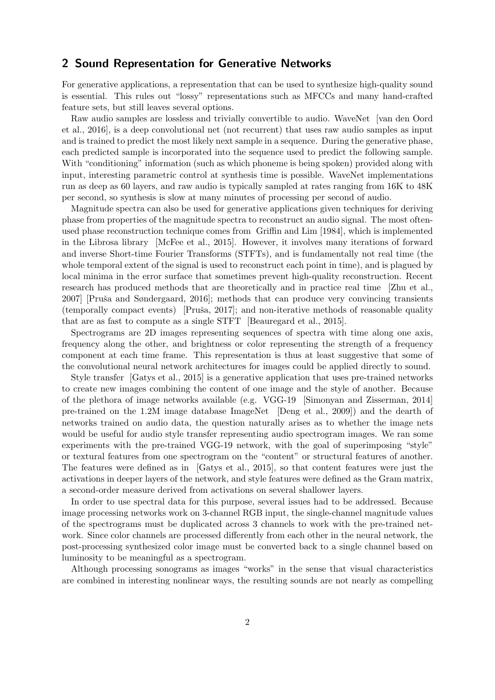#### 2 Sound Representation for Generative Networks

For generative applications, a representation that can be used to synthesize high-quality sound is essential. This rules out "lossy" representations such as MFCCs and many hand-crafted feature sets, but still leaves several options.

Raw audio samples are lossless and trivially convertible to audio. WaveNet [\[van den Oord](#page-4-2) [et al.,](#page-4-2) [2016\]](#page-4-2), is a deep convolutional net (not recurrent) that uses raw audio samples as input and is trained to predict the most likely next sample in a sequence. During the generative phase, each predicted sample is incorporated into the sequence used to predict the following sample. With "conditioning" information (such as which phoneme is being spoken) provided along with input, interesting parametric control at synthesis time is possible. WaveNet implementations run as deep as 60 layers, and raw audio is typically sampled at rates ranging from 16K to 48K per second, so synthesis is slow at many minutes of processing per second of audio.

Magnitude spectra can also be used for generative applications given techniques for deriving phase from properties of the magnitude spectra to reconstruct an audio signal. The most oftenused phase reconstruction technique comes from [Griffin and Lim](#page-4-3) [\[1984\]](#page-4-3), which is implemented in the Librosa library [\[McFee et al.,](#page-4-4) [2015\]](#page-4-4). However, it involves many iterations of forward and inverse Short-time Fourier Transforms (STFTs), and is fundamentally not real time (the whole temporal extent of the signal is used to reconstruct each point in time), and is plagued by local minima in the error surface that sometimes prevent high-quality reconstruction. Recent research has produced methods that are theoretically and in practice real time [\[Zhu et al.,](#page-4-5) [2007\]](#page-4-5) [Pruša and Søndergaard, [2016\]](#page-4-6); methods that can produce very convincing transients  $(temporally compact events)$  [Pruša, [2017\]](#page-4-7); and non-iterative methods of reasonable quality that are as fast to compute as a single STFT [\[Beauregard et al.,](#page-4-8) [2015\]](#page-4-8).

Spectrograms are 2D images representing sequences of spectra with time along one axis, frequency along the other, and brightness or color representing the strength of a frequency component at each time frame. This representation is thus at least suggestive that some of the convolutional neural network architectures for images could be applied directly to sound.

Style transfer [\[Gatys et al.,](#page-4-9) [2015\]](#page-4-9) is a generative application that uses pre-trained networks to create new images combining the content of one image and the style of another. Because of the plethora of image networks available (e.g. VGG-19 [\[Simonyan and Zisserman,](#page-4-10) [2014\]](#page-4-10) pre-trained on the 1.2M image database ImageNet [\[Deng et al.,](#page-4-11) [2009\]](#page-4-11)) and the dearth of networks trained on audio data, the question naturally arises as to whether the image nets would be useful for audio style transfer representing audio spectrogram images. We ran some experiments with the pre-trained VGG-19 network, with the goal of superimposing "style" or textural features from one spectrogram on the "content" or structural features of another. The features were defined as in [\[Gatys et al.,](#page-4-9) [2015\]](#page-4-9), so that content features were just the activations in deeper layers of the network, and style features were defined as the Gram matrix, a second-order measure derived from activations on several shallower layers.

In order to use spectral data for this purpose, several issues had to be addressed. Because image processing networks work on 3-channel RGB input, the single-channel magnitude values of the spectrograms must be duplicated across 3 channels to work with the pre-trained network. Since color channels are processed differently from each other in the neural network, the post-processing synthesized color image must be converted back to a single channel based on luminosity to be meaningful as a spectrogram.

Although processing sonograms as images "works" in the sense that visual characteristics are combined in interesting nonlinear ways, the resulting sounds are not nearly as compelling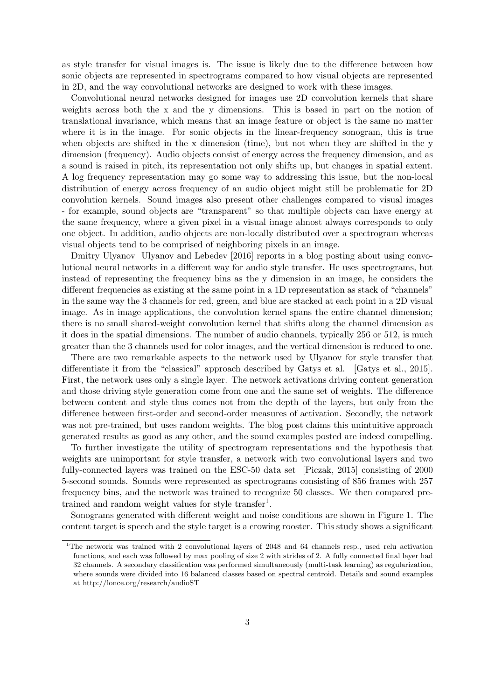as style transfer for visual images is. The issue is likely due to the difference between how sonic objects are represented in spectrograms compared to how visual objects are represented in 2D, and the way convolutional networks are designed to work with these images.

Convolutional neural networks designed for images use 2D convolution kernels that share weights across both the x and the y dimensions. This is based in part on the notion of translational invariance, which means that an image feature or object is the same no matter where it is in the image. For sonic objects in the linear-frequency sonogram, this is true when objects are shifted in the x dimension (time), but not when they are shifted in the y dimension (frequency). Audio objects consist of energy across the frequency dimension, and as a sound is raised in pitch, its representation not only shifts up, but changes in spatial extent. A log frequency representation may go some way to addressing this issue, but the non-local distribution of energy across frequency of an audio object might still be problematic for 2D convolution kernels. Sound images also present other challenges compared to visual images - for example, sound objects are "transparent" so that multiple objects can have energy at the same frequency, where a given pixel in a visual image almost always corresponds to only one object. In addition, audio objects are non-locally distributed over a spectrogram whereas visual objects tend to be comprised of neighboring pixels in an image.

Dmitry Ulyanov [Ulyanov and Lebedev](#page-4-12) [\[2016\]](#page-4-12) reports in a blog posting about using convolutional neural networks in a different way for audio style transfer. He uses spectrograms, but instead of representing the frequency bins as the y dimension in an image, he considers the different frequencies as existing at the same point in a 1D representation as stack of "channels" in the same way the 3 channels for red, green, and blue are stacked at each point in a 2D visual image. As in image applications, the convolution kernel spans the entire channel dimension; there is no small shared-weight convolution kernel that shifts along the channel dimension as it does in the spatial dimensions. The number of audio channels, typically 256 or 512, is much greater than the 3 channels used for color images, and the vertical dimension is reduced to one.

There are two remarkable aspects to the network used by Ulyanov for style transfer that differentiate it from the "classical" approach described by Gatys et al. [\[Gatys et al.,](#page-4-9) [2015\]](#page-4-9). First, the network uses only a single layer. The network activations driving content generation and those driving style generation come from one and the same set of weights. The difference between content and style thus comes not from the depth of the layers, but only from the difference between first-order and second-order measures of activation. Secondly, the network was not pre-trained, but uses random weights. The blog post claims this unintuitive approach generated results as good as any other, and the sound examples posted are indeed compelling.

To further investigate the utility of spectrogram representations and the hypothesis that weights are unimportant for style transfer, a network with two convolutional layers and two fully-connected layers was trained on the ESC-50 data set [\[Piczak,](#page-4-0) [2015\]](#page-4-0) consisting of 2000 5-second sounds. Sounds were represented as spectrograms consisting of 856 frames with 257 frequency bins, and the network was trained to recognize 50 classes. We then compared pre-trained and random weight values for style transfer<sup>[1](#page-0-0)</sup>.

Sonograms generated with different weight and noise conditions are shown in Figure [1.](#page-3-0) The content target is speech and the style target is a crowing rooster. This study shows a significant

<sup>&</sup>lt;sup>1</sup>The network was trained with 2 convolutional layers of 2048 and 64 channels resp., used relu activation functions, and each was followed by max pooling of size 2 with strides of 2. A fully connected final layer had 32 channels. A secondary classification was performed simultaneously (multi-task learning) as regularization, where sounds were divided into 16 balanced classes based on spectral centroid. Details and sound examples at http://lonce.org/research/audioST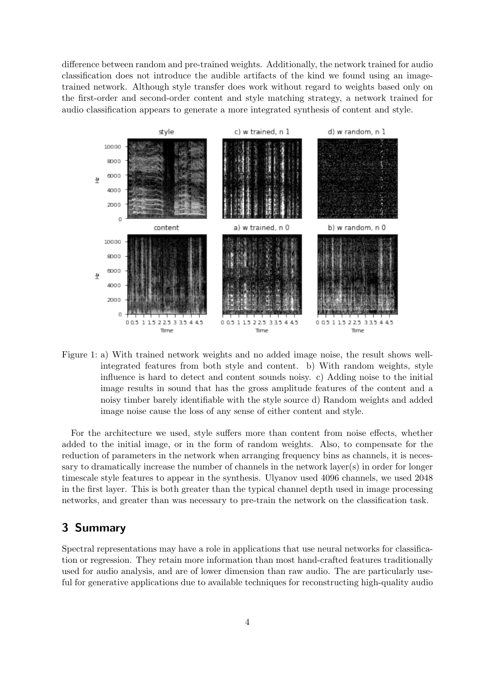difference between random and pre-trained weights. Additionally, the network trained for audio classification does not introduce the audible artifacts of the kind we found using an imagetrained network. Although style transfer does work without regard to weights based only on the first-order and second-order content and style matching strategy, a network trained for audio classification appears to generate a more integrated synthesis of content and style.



<span id="page-3-0"></span>Figure 1: a) With trained network weights and no added image noise, the result shows wellintegrated features from both style and content. b) With random weights, style influence is hard to detect and content sounds noisy. c) Adding noise to the initial image results in sound that has the gross amplitude features of the content and a noisy timber barely identifiable with the style source d) Random weights and added image noise cause the loss of any sense of either content and style.

For the architecture we used, style suffers more than content from noise effects, whether added to the initial image, or in the form of random weights. Also, to compensate for the reduction of parameters in the network when arranging frequency bins as channels, it is necessary to dramatically increase the number of channels in the network layer(s) in order for longer timescale style features to appear in the synthesis. Ulyanov used 4096 channels, we used 2048 in the first layer. This is both greater than the typical channel depth used in image processing networks, and greater than was necessary to pre-train the network on the classification task.

## 3 Summary

Spectral representations may have a role in applications that use neural networks for classification or regression. They retain more information than most hand-crafted features traditionally used for audio analysis, and are of lower dimension than raw audio. The are particularly useful for generative applications due to available techniques for reconstructing high-quality audio